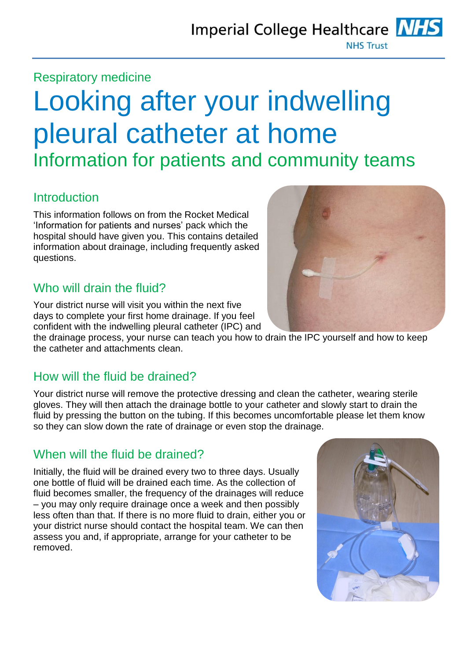## Respiratory medicine

# Looking after your indwelling pleural catheter at home Information for patients and community teams

## **Introduction**

This information follows on from the Rocket Medical 'Information for patients and nurses' pack which the hospital should have given you. This contains detailed information about drainage, including frequently asked questions.

# Who will drain the fluid?

Your district nurse will visit you within the next five days to complete your first home drainage. If you feel confident with the indwelling pleural catheter (IPC) and

the drainage process, your nurse can teach you how to drain the IPC yourself and how to keep the catheter and attachments clean.

# How will the fluid be drained?

Your district nurse will remove the protective dressing and clean the catheter, wearing sterile gloves. They will then attach the drainage bottle to your catheter and slowly start to drain the fluid by pressing the button on the tubing. If this becomes uncomfortable please let them know so they can slow down the rate of drainage or even stop the drainage.

# When will the fluid be drained?

Initially, the fluid will be drained every two to three days. Usually one bottle of fluid will be drained each time. As the collection of fluid becomes smaller, the frequency of the drainages will reduce – you may only require drainage once a week and then possibly less often than that. If there is no more fluid to drain, either you or your district nurse should contact the hospital team. We can then assess you and, if appropriate, arrange for your catheter to be removed.